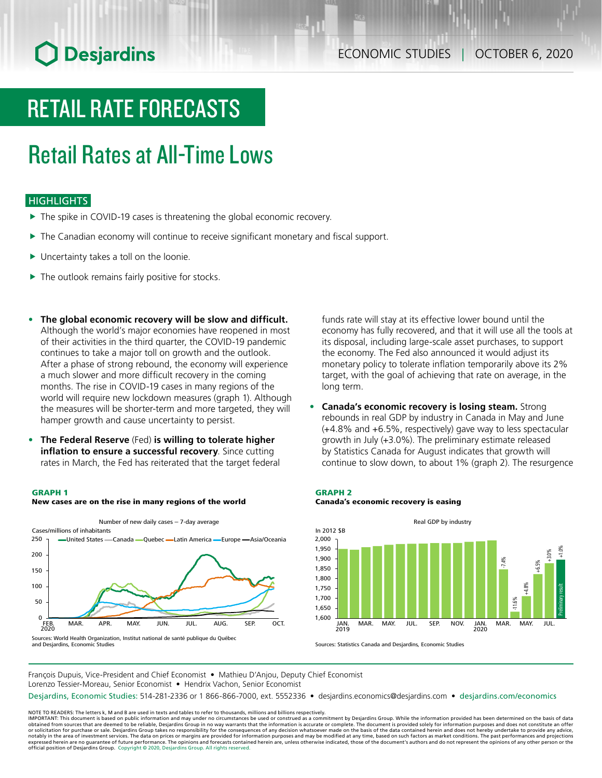# **O** Desjardins

# RETAIL RATE FORECASTS

# Retail Rates at All-Time Lows

### **HIGHLIGHTS**

- $\blacktriangleright$  The spike in COVID-19 cases is threatening the global economic recovery.
- $\blacktriangleright$  The Canadian economy will continue to receive significant monetary and fiscal support.
- $\blacktriangleright$  Uncertainty takes a toll on the loonie.
- $\blacktriangleright$  The outlook remains fairly positive for stocks.
- **• The global economic recovery will be slow and difficult.** Although the world's major economies have reopened in most of their activities in the third quarter, the COVID-19 pandemic continues to take a major toll on growth and the outlook. After a phase of strong rebound, the economy will experience a much slower and more difficult recovery in the coming months. The rise in COVID-19 cases in many regions of the world will require new lockdown measures (graph 1). Although the measures will be shorter-term and more targeted, they will hamper growth and cause uncertainty to persist.
- **• The Federal Reserve** (Fed) **is willing to tolerate higher inflation to ensure a successful recovery**. Since cutting rates in March, the Fed has reiterated that the target federal

#### GRAPH 1



Sources: World Health Organization, Institut national de santé publique du Québec and Desjardins, Economic Studies

funds rate will stay at its effective lower bound until the economy has fully recovered, and that it will use all the tools at its disposal, including large-scale asset purchases, to support the economy. The Fed also announced it would adjust its monetary policy to tolerate inflation temporarily above its 2% target, with the goal of achieving that rate on average, in the long term.

**• Canada's economic recovery is losing steam.** Strong rebounds in real GDP by industry in Canada in May and June (+4.8% and +6.5%, respectively) gave way to less spectacular growth in July (+3.0%). The preliminary estimate released by Statistics Canada for August indicates that growth will continue to slow down, to about 1% (graph 2). The resurgence

### GRAPH 2 Canada's economic recovery is easing



Sources: Statistics Canada and Desjardins, Economic Studies

François Dupuis, Vice-President and Chief Economist • Mathieu D'Anjou, Deputy Chief Economist Lorenzo Tessier-Moreau, Senior Economist • Hendrix Vachon, Senior Economist

Desjardins, Economic Studies: 514-281-2336 or 1 866-866-7000, ext. 5552336 • desjardins.economics@desjardins.com • [desjardins.com/economics](http://desjardins.com/economics)

NOTE TO READERS: The letters k, M and B are used in texts and tables to refer to thousands, millions and billions respectively.<br>IMPORTANT: This document is based on public information and may under no circumstances be used obtained from sources that are deemed to be reliable, Desjardins Group in no way warrants that the information is accurate or complete. The document is provided solely for information purposes and does not constitute an of expressed herein are no guarantee of future performance. The opinions and forecasts contained herein are, unless otherwise indicated, those of the document's authors and do not represent the opinions of any other person or official position of Desjardins Group. Copyright © 2020, Desjardins Group. All rights reserved.

## New cases are on the rise in many regions of the world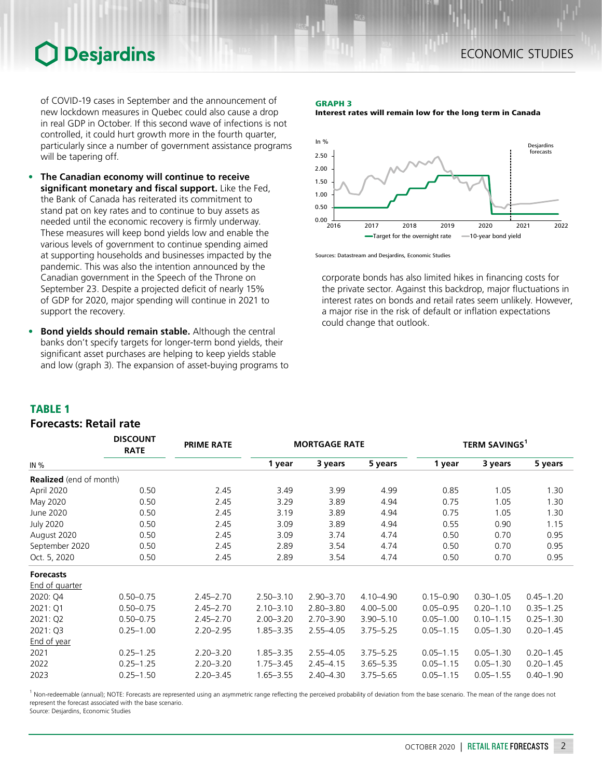## **Desjardins**

of COVID-19 cases in September and the announcement of new lockdown measures in Quebec could also cause a drop in real GDP in October. If this second wave of infections is not controlled, it could hurt growth more in the fourth quarter, particularly since a number of government assistance programs will be tapering off.

- **• The Canadian economy will continue to receive significant monetary and fiscal support.** Like the Fed, the Bank of Canada has reiterated its commitment to stand pat on key rates and to continue to buy assets as needed until the economic recovery is firmly underway. These measures will keep bond yields low and enable the various levels of government to continue spending aimed at supporting households and businesses impacted by the pandemic. This was also the intention announced by the Canadian government in the Speech of the Throne on September 23. Despite a projected deficit of nearly 15% of GDP for 2020, major spending will continue in 2021 to support the recovery.
- **• Bond yields should remain stable.** Although the central banks don't specify targets for longer-term bond yields, their significant asset purchases are helping to keep yields stable and low (graph 3). The expansion of asset-buying programs to

*DISCOUNT* 

## GRAPH 3





Sources: Datastream and Desjardins, Economic Studies

corporate bonds has also limited hikes in financing costs for the private sector. Against this backdrop, major fluctuations in interest rates on bonds and retail rates seem unlikely. However, a major rise in the risk of default or inflation expectations could change that outlook.

### TABLE 1

### *Forecasts: Retail rate*

|                                | <b>DISCOUNT</b><br><b>RATE</b> | <b>PRIME RATE</b> | <b>MORTGAGE RATE</b> |               |               | <b>TERM SAVINGS1</b> |               |               |  |
|--------------------------------|--------------------------------|-------------------|----------------------|---------------|---------------|----------------------|---------------|---------------|--|
| IN $%$                         |                                |                   | 1 year               | 3 years       | 5 years       | 1 year               | 3 years       | 5 years       |  |
| <b>Realized</b> (end of month) |                                |                   |                      |               |               |                      |               |               |  |
| April 2020                     | 0.50                           | 2.45              | 3.49                 | 3.99          | 4.99          | 0.85                 | 1.05          | 1.30          |  |
| May 2020                       | 0.50                           | 2.45              | 3.29                 | 3.89          | 4.94          | 0.75                 | 1.05          | 1.30          |  |
| June 2020                      | 0.50                           | 2.45              | 3.19                 | 3.89          | 4.94          | 0.75                 | 1.05          | 1.30          |  |
| <b>July 2020</b>               | 0.50                           | 2.45              | 3.09                 | 3.89          | 4.94          | 0.55                 | 0.90          | 1.15          |  |
| August 2020                    | 0.50                           | 2.45              | 3.09                 | 3.74          | 4.74          | 0.50                 | 0.70          | 0.95          |  |
| September 2020                 | 0.50                           | 2.45              | 2.89                 | 3.54          | 4.74          | 0.50                 | 0.70          | 0.95          |  |
| Oct. 5, 2020                   | 0.50                           | 2.45              | 2.89                 | 3.54          | 4.74          | 0.50                 | 0.70          | 0.95          |  |
| <b>Forecasts</b>               |                                |                   |                      |               |               |                      |               |               |  |
| <b>End of quarter</b>          |                                |                   |                      |               |               |                      |               |               |  |
| 2020: Q4                       | $0.50 - 0.75$                  | $2.45 - 2.70$     | $2.50 - 3.10$        | $2.90 - 3.70$ | $4.10 - 4.90$ | $0.15 - 0.90$        | $0.30 - 1.05$ | $0.45 - 1.20$ |  |
| 2021: Q1                       | $0.50 - 0.75$                  | $2.45 - 2.70$     | $2.10 - 3.10$        | $2.80 - 3.80$ | $4.00 - 5.00$ | $0.05 - 0.95$        | $0.20 - 1.10$ | $0.35 - 1.25$ |  |
| 2021: Q2                       | $0.50 - 0.75$                  | $2.45 - 2.70$     | $2.00 - 3.20$        | $2.70 - 3.90$ | $3.90 - 5.10$ | $0.05 - 1.00$        | $0.10 - 1.15$ | $0.25 - 1.30$ |  |
| 2021: Q3                       | $0.25 - 1.00$                  | $2.20 - 2.95$     | $1.85 - 3.35$        | $2.55 - 4.05$ | $3.75 - 5.25$ | $0.05 - 1.15$        | $0.05 - 1.30$ | $0.20 - 1.45$ |  |
| End of year                    |                                |                   |                      |               |               |                      |               |               |  |
| 2021                           | $0.25 - 1.25$                  | $2.20 - 3.20$     | $1.85 - 3.35$        | $2.55 - 4.05$ | $3.75 - 5.25$ | $0.05 - 1.15$        | $0.05 - 1.30$ | $0.20 - 1.45$ |  |
| 2022                           | $0.25 - 1.25$                  | $2.20 - 3.20$     | $1.75 - 3.45$        | $2.45 - 4.15$ | $3.65 - 5.35$ | $0.05 - 1.15$        | $0.05 - 1.30$ | $0.20 - 1.45$ |  |
| 2023                           | $0.25 - 1.50$                  | $2.20 - 3.45$     | $1.65 - 3.55$        | $2.40 - 4.30$ | $3.75 - 5.65$ | $0.05 - 1.15$        | $0.05 - 1.55$ | $0.40 - 1.90$ |  |

<sup>1</sup> Non-redeemable (annual); NOTE: Forecasts are represented using an asymmetric range reflecting the perceived probability of deviation from the base scenario. The mean of the range does not represent the forecast associated with the base scenario.

Source: Desjardins, Economic Studies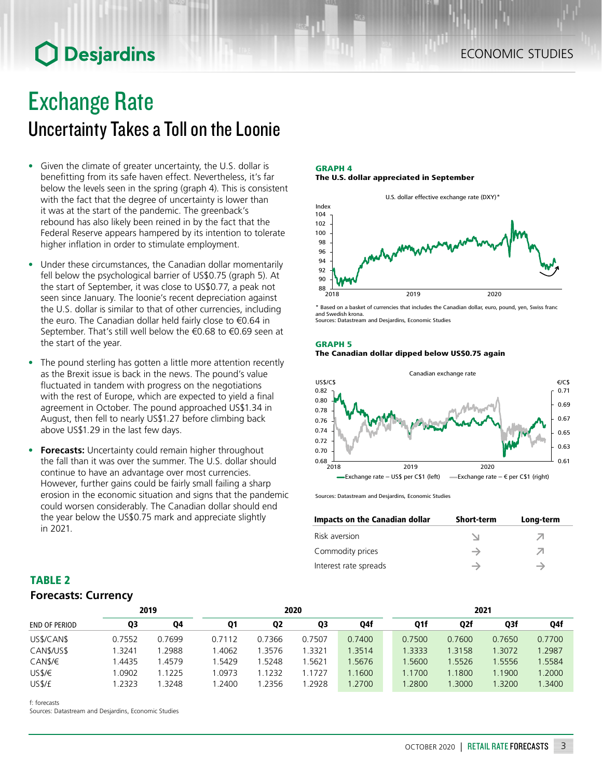# **O** Desjardins

## Exchange Rate Uncertainty Takes a Toll on the Loonie

- Given the climate of greater uncertainty, the U.S. dollar is benefitting from its safe haven effect. Nevertheless, it's far below the levels seen in the spring (graph 4). This is consistent with the fact that the degree of uncertainty is lower than it was at the start of the pandemic. The greenback's rebound has also likely been reined in by the fact that the Federal Reserve appears hampered by its intention to tolerate higher inflation in order to stimulate employment.
- Under these circumstances, the Canadian dollar momentarily fell below the psychological barrier of US\$0.75 (graph 5). At the start of September, it was close to US\$0.77, a peak not seen since January. The loonie's recent depreciation against the U.S. dollar is similar to that of other currencies, including the euro. The Canadian dollar held fairly close to €0.64 in September. That's still well below the €0.68 to €0.69 seen at the start of the year.
- The pound sterling has gotten a little more attention recently as the Brexit issue is back in the news. The pound's value fluctuated in tandem with progress on the negotiations with the rest of Europe, which are expected to yield a final agreement in October. The pound approached US\$1.34 in August, then fell to nearly US\$1.27 before climbing back above US\$1.29 in the last few days.
- **• Forecasts:** Uncertainty could remain higher throughout the fall than it was over the summer. The U.S. dollar should continue to have an advantage over most currencies. However, further gains could be fairly small failing a sharp erosion in the economic situation and signs that the pandemic could worsen considerably. The Canadian dollar should end the year below the US\$0.75 mark and appreciate slightly in 2021.

GRAPH 4 The U.S. dollar appreciated in September



\* Based on a basket of currencies that includes the Canadian dollar, euro, pound, yen, Swiss franc and Swedish krona. Sources: Datastream and Desjardins, Economic Studies

### GRAPH 5 The Canadian dollar dipped below US\$0.75 again



Sources: Datastream and Desjardins, Economic Studies

| Impacts on the Canadian dollar | <b>Short-term</b> | Long-term |
|--------------------------------|-------------------|-----------|
| Risk aversion                  |                   |           |
| Commodity prices               | $\rightarrow$     |           |
| Interest rate spreads          |                   |           |

### TABLE 2 *Forecasts: Currency*

| 2019                 |        |        | 2020   |                |        |        | 2021   |        |        |        |
|----------------------|--------|--------|--------|----------------|--------|--------|--------|--------|--------|--------|
| <b>END OF PERIOD</b> | Q3     | Q4     | Q1     | Q <sub>2</sub> | Q3     | Q4f    | Q1f    | Q2f    | Q3f    | Q4f    |
| US\$/CAN\$           | 0.7552 | 0.7699 | 0.7112 | 0.7366         | 0.7507 | 0.7400 | 0.7500 | 0.7600 | 0.7650 | 0.7700 |
| CAN\$/US\$           | .3241  | .2988  | 1.4062 | 1.3576         | .3321  | 1.3514 | 1.3333 | 1.3158 | 1.3072 | 1.2987 |
| CAN\$/€              | .4435  | 1.4579 | 1.5429 | .5248          | .5621  | .5676  | 1.5600 | .5526  | 1.5556 | 1.5584 |
| US\$/€               | .0902  | 1.1225 | 1.0973 | 1.1232         | 1.1727 | 1.1600 | 1.1700 | 1.1800 | 1.1900 | 1.2000 |
| US\$/£               | .2323  | .3248  | .2400  | .2356          | 1.2928 | .2700  | .2800  | .3000  | 1.3200 | .3400  |

f: forecasts

Sources: Datastream and Desjardins, Economic Studies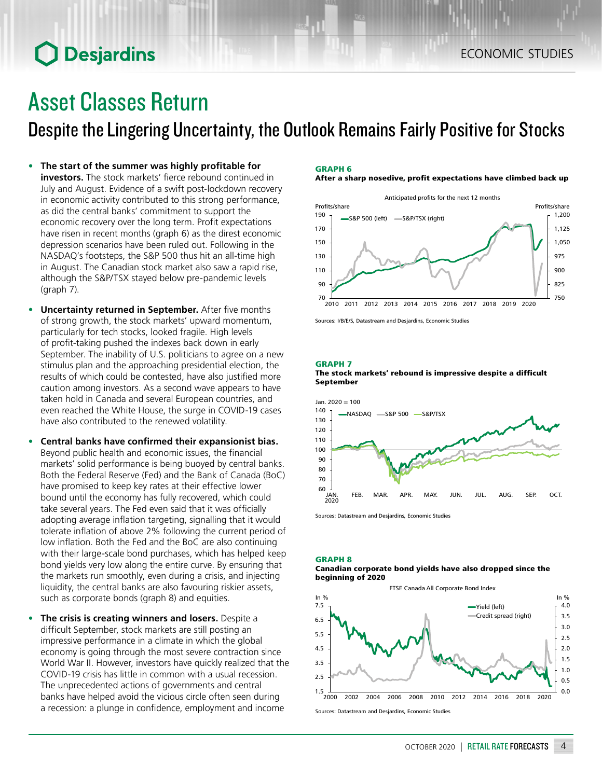# **O** Desjardins

# Asset Classes Return

Despite the Lingering Uncertainty, the Outlook Remains Fairly Positive for Stocks

- **• The start of the summer was highly profitable for investors.** The stock markets' fierce rebound continued in July and August. Evidence of a swift post-lockdown recovery in economic activity contributed to this strong performance, as did the central banks' commitment to support the economic recovery over the long term. Profit expectations have risen in recent months (graph 6) as the direst economic depression scenarios have been ruled out. Following in the NASDAQ's footsteps, the S&P 500 thus hit an all-time high in August. The Canadian stock market also saw a rapid rise, although the S&P/TSX stayed below pre-pandemic levels (graph 7).
- **• Uncertainty returned in September.** After five months of strong growth, the stock markets' upward momentum, particularly for tech stocks, looked fragile. High levels of profit-taking pushed the indexes back down in early September. The inability of U.S. politicians to agree on a new stimulus plan and the approaching presidential election, the results of which could be contested, have also justified more caution among investors. As a second wave appears to have taken hold in Canada and several European countries, and even reached the White House, the surge in COVID-19 cases have also contributed to the renewed volatility.
- **• Central banks have confirmed their expansionist bias.** Beyond public health and economic issues, the financial markets' solid performance is being buoyed by central banks. Both the Federal Reserve (Fed) and the Bank of Canada (BoC) have promised to keep key rates at their effective lower bound until the economy has fully recovered, which could take several years. The Fed even said that it was officially adopting average inflation targeting, signalling that it would tolerate inflation of above 2% following the current period of low inflation. Both the Fed and the BoC are also continuing with their large-scale bond purchases, which has helped keep bond yields very low along the entire curve. By ensuring that the markets run smoothly, even during a crisis, and injecting liquidity, the central banks are also favouring riskier assets, such as corporate bonds (graph 8) and equities.
- **• The crisis is creating winners and losers.** Despite a difficult September, stock markets are still posting an impressive performance in a climate in which the global economy is going through the most severe contraction since World War II. However, investors have quickly realized that the COVID-19 crisis has little in common with a usual recession. The unprecedented actions of governments and central banks have helped avoid the vicious circle often seen during a recession: a plunge in confidence, employment and income

### GRAPH 6

After a sharp nosedive, profit expectations have climbed back up



Sources: I/B/E/S, Datastream and Desjardins, Economic Studies

### GRAPH 7





Sources: Datastream and Desjardins, Economic Studies

#### GRAPH 8 Canadian corporate bond yields have also dropped since the beginning of 2020

FTSE Canada All Corporate Bond Index



Sources: Datastream and Desjardins, Economic Studies